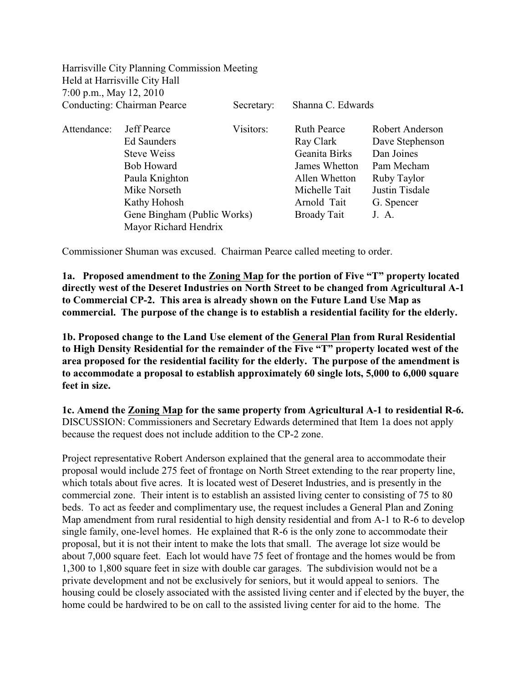|                             | Harrisville City Planning Commission Meeting |            |                    |                 |
|-----------------------------|----------------------------------------------|------------|--------------------|-----------------|
|                             | Held at Harrisville City Hall                |            |                    |                 |
| 7:00 p.m., May 12, 2010     |                                              |            |                    |                 |
| Conducting: Chairman Pearce |                                              | Secretary: | Shanna C. Edwards  |                 |
| Attendance:                 | <b>Jeff Pearce</b>                           | Visitors:  | <b>Ruth Pearce</b> | Robert Anderson |
|                             | Ed Saunders                                  |            | Ray Clark          | Dave Stephenson |
|                             | Steve Weiss                                  |            | Geanita Birks      | Dan Joines      |
|                             | <b>Bob Howard</b>                            |            | James Whetton      | Pam Mecham      |
|                             | Paula Knighton                               |            | Allen Whetton      | Ruby Taylor     |
|                             | Mike Norseth                                 |            | Michelle Tait      | Justin Tisdale  |
|                             | Kathy Hohosh                                 |            | Arnold Tait        | G. Spencer      |
|                             | Gene Bingham (Public Works)                  |            | Broady Tait        | J. A.           |
|                             | Mayor Richard Hendrix                        |            |                    |                 |

Commissioner Shuman was excused. Chairman Pearce called meeting to order.

**1a. Proposed amendment to the Zoning Map for the portion of Five "T" property located directly west of the Deseret Industries on North Street to be changed from Agricultural A-1 to Commercial CP-2. This area is already shown on the Future Land Use Map as commercial. The purpose of the change is to establish a residential facility for the elderly.** 

**1b. Proposed change to the Land Use element of the General Plan from Rural Residential to High Density Residential for the remainder of the Five "T" property located west of the area proposed for the residential facility for the elderly. The purpose of the amendment is to accommodate a proposal to establish approximately 60 single lots, 5,000 to 6,000 square feet in size.** 

**1c. Amend the Zoning Map for the same property from Agricultural A-1 to residential R-6.** DISCUSSION: Commissioners and Secretary Edwards determined that Item 1a does not apply because the request does not include addition to the CP-2 zone.

Project representative Robert Anderson explained that the general area to accommodate their proposal would include 275 feet of frontage on North Street extending to the rear property line, which totals about five acres. It is located west of Deseret Industries, and is presently in the commercial zone. Their intent is to establish an assisted living center to consisting of 75 to 80 beds. To act as feeder and complimentary use, the request includes a General Plan and Zoning Map amendment from rural residential to high density residential and from A-1 to R-6 to develop single family, one-level homes. He explained that R-6 is the only zone to accommodate their proposal, but it is not their intent to make the lots that small. The average lot size would be about 7,000 square feet. Each lot would have 75 feet of frontage and the homes would be from 1,300 to 1,800 square feet in size with double car garages. The subdivision would not be a private development and not be exclusively for seniors, but it would appeal to seniors. The housing could be closely associated with the assisted living center and if elected by the buyer, the home could be hardwired to be on call to the assisted living center for aid to the home. The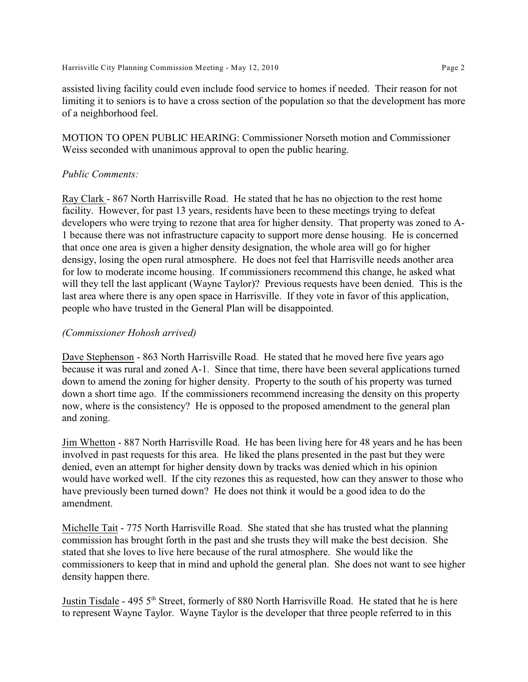assisted living facility could even include food service to homes if needed. Their reason for not limiting it to seniors is to have a cross section of the population so that the development has more of a neighborhood feel.

MOTION TO OPEN PUBLIC HEARING: Commissioner Norseth motion and Commissioner Weiss seconded with unanimous approval to open the public hearing.

### *Public Comments:*

Ray Clark - 867 North Harrisville Road. He stated that he has no objection to the rest home facility. However, for past 13 years, residents have been to these meetings trying to defeat developers who were trying to rezone that area for higher density. That property was zoned to A-1 because there was not infrastructure capacity to support more dense housing. He is concerned that once one area is given a higher density designation, the whole area will go for higher densigy, losing the open rural atmosphere. He does not feel that Harrisville needs another area for low to moderate income housing. If commissioners recommend this change, he asked what will they tell the last applicant (Wayne Taylor)? Previous requests have been denied. This is the last area where there is any open space in Harrisville. If they vote in favor of this application, people who have trusted in the General Plan will be disappointed.

### *(Commissioner Hohosh arrived)*

Dave Stephenson - 863 North Harrisville Road. He stated that he moved here five years ago because it was rural and zoned A-1. Since that time, there have been several applications turned down to amend the zoning for higher density. Property to the south of his property was turned down a short time ago. If the commissioners recommend increasing the density on this property now, where is the consistency? He is opposed to the proposed amendment to the general plan and zoning.

Jim Whetton - 887 North Harrisville Road. He has been living here for 48 years and he has been involved in past requests for this area. He liked the plans presented in the past but they were denied, even an attempt for higher density down by tracks was denied which in his opinion would have worked well. If the city rezones this as requested, how can they answer to those who have previously been turned down? He does not think it would be a good idea to do the amendment.

Michelle Tait - 775 North Harrisville Road. She stated that she has trusted what the planning commission has brought forth in the past and she trusts they will make the best decision. She stated that she loves to live here because of the rural atmosphere. She would like the commissioners to keep that in mind and uphold the general plan. She does not want to see higher density happen there.

Justin Tisdale - 495 5<sup>th</sup> Street, formerly of 880 North Harrisville Road. He stated that he is here to represent Wayne Taylor. Wayne Taylor is the developer that three people referred to in this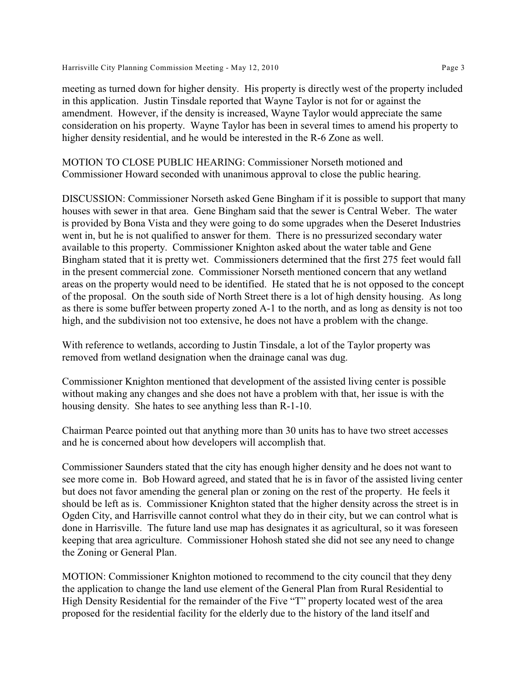meeting as turned down for higher density. His property is directly west of the property included in this application. Justin Tinsdale reported that Wayne Taylor is not for or against the amendment. However, if the density is increased, Wayne Taylor would appreciate the same consideration on his property. Wayne Taylor has been in several times to amend his property to higher density residential, and he would be interested in the R-6 Zone as well.

MOTION TO CLOSE PUBLIC HEARING: Commissioner Norseth motioned and Commissioner Howard seconded with unanimous approval to close the public hearing.

DISCUSSION: Commissioner Norseth asked Gene Bingham if it is possible to support that many houses with sewer in that area. Gene Bingham said that the sewer is Central Weber. The water is provided by Bona Vista and they were going to do some upgrades when the Deseret Industries went in, but he is not qualified to answer for them. There is no pressurized secondary water available to this property. Commissioner Knighton asked about the water table and Gene Bingham stated that it is pretty wet. Commissioners determined that the first 275 feet would fall in the present commercial zone. Commissioner Norseth mentioned concern that any wetland areas on the property would need to be identified. He stated that he is not opposed to the concept of the proposal. On the south side of North Street there is a lot of high density housing. As long as there is some buffer between property zoned A-1 to the north, and as long as density is not too high, and the subdivision not too extensive, he does not have a problem with the change.

With reference to wetlands, according to Justin Tinsdale, a lot of the Taylor property was removed from wetland designation when the drainage canal was dug.

Commissioner Knighton mentioned that development of the assisted living center is possible without making any changes and she does not have a problem with that, her issue is with the housing density. She hates to see anything less than R-1-10.

Chairman Pearce pointed out that anything more than 30 units has to have two street accesses and he is concerned about how developers will accomplish that.

Commissioner Saunders stated that the city has enough higher density and he does not want to see more come in. Bob Howard agreed, and stated that he is in favor of the assisted living center but does not favor amending the general plan or zoning on the rest of the property. He feels it should be left as is. Commissioner Knighton stated that the higher density across the street is in Ogden City, and Harrisville cannot control what they do in their city, but we can control what is done in Harrisville. The future land use map has designates it as agricultural, so it was foreseen keeping that area agriculture. Commissioner Hohosh stated she did not see any need to change the Zoning or General Plan.

MOTION: Commissioner Knighton motioned to recommend to the city council that they deny the application to change the land use element of the General Plan from Rural Residential to High Density Residential for the remainder of the Five "T" property located west of the area proposed for the residential facility for the elderly due to the history of the land itself and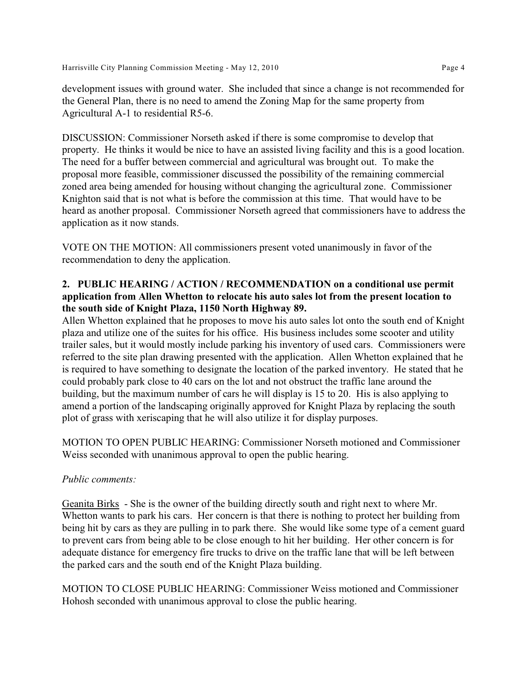development issues with ground water. She included that since a change is not recommended for the General Plan, there is no need to amend the Zoning Map for the same property from Agricultural A-1 to residential R5-6.

DISCUSSION: Commissioner Norseth asked if there is some compromise to develop that property. He thinks it would be nice to have an assisted living facility and this is a good location. The need for a buffer between commercial and agricultural was brought out. To make the proposal more feasible, commissioner discussed the possibility of the remaining commercial zoned area being amended for housing without changing the agricultural zone. Commissioner Knighton said that is not what is before the commission at this time. That would have to be heard as another proposal. Commissioner Norseth agreed that commissioners have to address the application as it now stands.

VOTE ON THE MOTION: All commissioners present voted unanimously in favor of the recommendation to deny the application.

## **2. PUBLIC HEARING / ACTION / RECOMMENDATION on a conditional use permit application from Allen Whetton to relocate his auto sales lot from the present location to the south side of Knight Plaza, 1150 North Highway 89.**

Allen Whetton explained that he proposes to move his auto sales lot onto the south end of Knight plaza and utilize one of the suites for his office. His business includes some scooter and utility trailer sales, but it would mostly include parking his inventory of used cars. Commissioners were referred to the site plan drawing presented with the application. Allen Whetton explained that he is required to have something to designate the location of the parked inventory. He stated that he could probably park close to 40 cars on the lot and not obstruct the traffic lane around the building, but the maximum number of cars he will display is 15 to 20. His is also applying to amend a portion of the landscaping originally approved for Knight Plaza by replacing the south plot of grass with xeriscaping that he will also utilize it for display purposes.

MOTION TO OPEN PUBLIC HEARING: Commissioner Norseth motioned and Commissioner Weiss seconded with unanimous approval to open the public hearing.

## *Public comments:*

Geanita Birks - She is the owner of the building directly south and right next to where Mr. Whetton wants to park his cars. Her concern is that there is nothing to protect her building from being hit by cars as they are pulling in to park there. She would like some type of a cement guard to prevent cars from being able to be close enough to hit her building. Her other concern is for adequate distance for emergency fire trucks to drive on the traffic lane that will be left between the parked cars and the south end of the Knight Plaza building.

MOTION TO CLOSE PUBLIC HEARING: Commissioner Weiss motioned and Commissioner Hohosh seconded with unanimous approval to close the public hearing.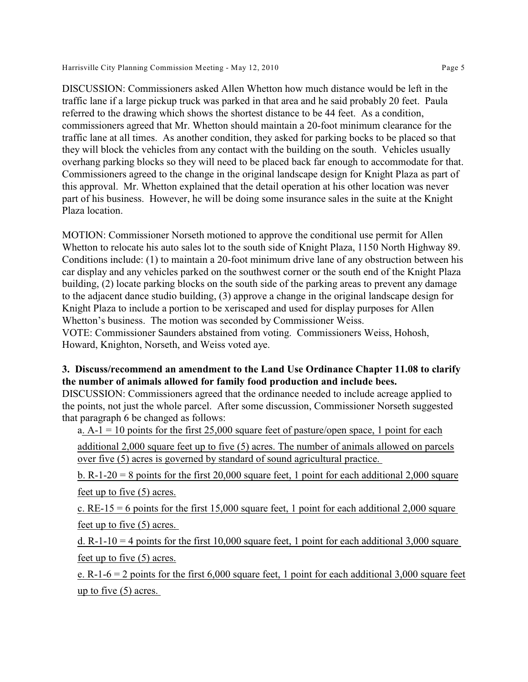Harrisville City Planning Commission Meeting - May 12, 2010 Page 5

DISCUSSION: Commissioners asked Allen Whetton how much distance would be left in the traffic lane if a large pickup truck was parked in that area and he said probably 20 feet. Paula referred to the drawing which shows the shortest distance to be 44 feet. As a condition, commissioners agreed that Mr. Whetton should maintain a 20-foot minimum clearance for the traffic lane at all times. As another condition, they asked for parking bocks to be placed so that they will block the vehicles from any contact with the building on the south. Vehicles usually overhang parking blocks so they will need to be placed back far enough to accommodate for that. Commissioners agreed to the change in the original landscape design for Knight Plaza as part of this approval. Mr. Whetton explained that the detail operation at his other location was never part of his business. However, he will be doing some insurance sales in the suite at the Knight Plaza location.

MOTION: Commissioner Norseth motioned to approve the conditional use permit for Allen Whetton to relocate his auto sales lot to the south side of Knight Plaza, 1150 North Highway 89. Conditions include: (1) to maintain a 20-foot minimum drive lane of any obstruction between his car display and any vehicles parked on the southwest corner or the south end of the Knight Plaza building, (2) locate parking blocks on the south side of the parking areas to prevent any damage to the adjacent dance studio building, (3) approve a change in the original landscape design for Knight Plaza to include a portion to be xeriscaped and used for display purposes for Allen Whetton's business. The motion was seconded by Commissioner Weiss. VOTE: Commissioner Saunders abstained from voting. Commissioners Weiss, Hohosh, Howard, Knighton, Norseth, and Weiss voted aye.

# **3. Discuss/recommend an amendment to the Land Use Ordinance Chapter 11.08 to clarify the number of animals allowed for family food production and include bees.**

DISCUSSION: Commissioners agreed that the ordinance needed to include acreage applied to the points, not just the whole parcel. After some discussion, Commissioner Norseth suggested that paragraph 6 be changed as follows:

a.  $A - 1 = 10$  points for the first 25,000 square feet of pasture/open space, 1 point for each

additional 2,000 square feet up to five (5) acres. The number of animals allowed on parcels over five (5) acres is governed by standard of sound agricultural practice.

b. R-1-20 = 8 points for the first 20,000 square feet, 1 point for each additional 2,000 square feet up to five (5) acres.

c. RE-15 = 6 points for the first 15,000 square feet, 1 point for each additional 2,000 square feet up to five (5) acres.

d. R-1-10 = 4 points for the first 10,000 square feet, 1 point for each additional 3,000 square feet up to five (5) acres.

e. R-1-6 = 2 points for the first  $6,000$  square feet, 1 point for each additional 3,000 square feet up to five  $(5)$  acres.